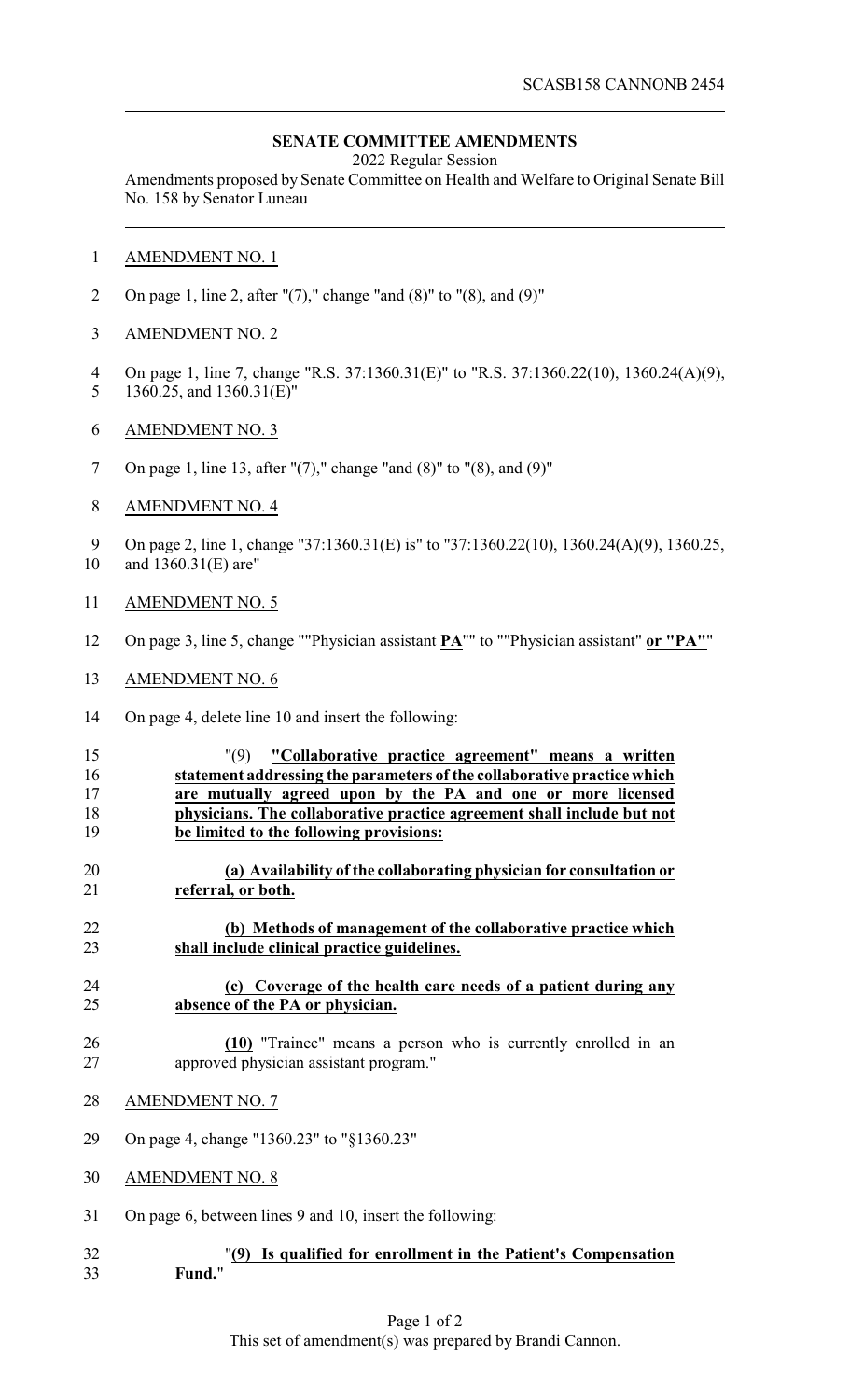## **SENATE COMMITTEE AMENDMENTS**

2022 Regular Session

Amendments proposed by Senate Committee on Health and Welfare to Original Senate Bill No. 158 by Senator Luneau

- AMENDMENT NO. 1
- 2 On page 1, line 2, after " $(7)$ ," change "and  $(8)$ " to " $(8)$ , and  $(9)$ "
- AMENDMENT NO. 2
- On page 1, line 7, change "R.S. 37:1360.31(E)" to "R.S. 37:1360.22(10), 1360.24(A)(9), 1360.25, and 1360.31(E)"
- AMENDMENT NO. 3
- On page 1, line 13, after "(7)," change "and (8)" to "(8), and (9)"
- AMENDMENT NO. 4

9 On page 2, line 1, change "37:1360.31(E) is" to "37:1360.22(10), 1360.24(A)(9), 1360.25,

- and 1360.31(E) are"
- AMENDMENT NO. 5
- On page 3, line 5, change ""Physician assistant **PA**"" to ""Physician assistant" **or "PA"**"
- AMENDMENT NO. 6
- On page 4, delete line 10 and insert the following:
- "(9) **"Collaborative practice agreement" means a written statement addressing the parameters of the collaborative practice which are mutually agreed upon by the PA and one or more licensed physicians. The collaborative practice agreement shall include but not be limited to the following provisions:**
- **(a) Availability of the collaborating physician for consultation or referral, or both.**
- **(b) Methods of management of the collaborative practice which shall include clinical practice guidelines.**
- **(c) Coverage of the health care needs of a patient during any absence of the PA or physician.**
- **(10)** "Trainee" means a person who is currently enrolled in an approved physician assistant program."
- AMENDMENT NO. 7
- On page 4, change "1360.23" to "§1360.23"
- AMENDMENT NO. 8
- On page 6, between lines 9 and 10, insert the following:
- "**(9) Is qualified for enrollment in the Patient's Compensation Fund.**"